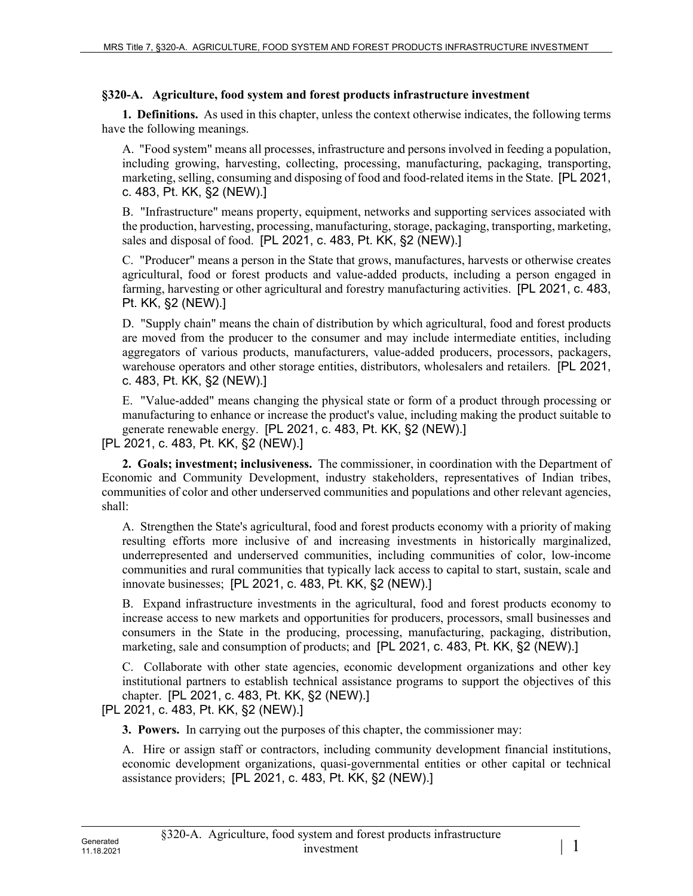## **§320-A. Agriculture, food system and forest products infrastructure investment**

**1. Definitions.** As used in this chapter, unless the context otherwise indicates, the following terms have the following meanings.

A. "Food system" means all processes, infrastructure and persons involved in feeding a population, including growing, harvesting, collecting, processing, manufacturing, packaging, transporting, marketing, selling, consuming and disposing of food and food-related items in the State. [PL 2021, c. 483, Pt. KK, §2 (NEW).]

B. "Infrastructure" means property, equipment, networks and supporting services associated with the production, harvesting, processing, manufacturing, storage, packaging, transporting, marketing, sales and disposal of food. [PL 2021, c. 483, Pt. KK, §2 (NEW).]

C. "Producer" means a person in the State that grows, manufactures, harvests or otherwise creates agricultural, food or forest products and value-added products, including a person engaged in farming, harvesting or other agricultural and forestry manufacturing activities. [PL 2021, c. 483, Pt. KK, §2 (NEW).]

D. "Supply chain" means the chain of distribution by which agricultural, food and forest products are moved from the producer to the consumer and may include intermediate entities, including aggregators of various products, manufacturers, value-added producers, processors, packagers, warehouse operators and other storage entities, distributors, wholesalers and retailers. [PL 2021, c. 483, Pt. KK, §2 (NEW).]

E. "Value-added" means changing the physical state or form of a product through processing or manufacturing to enhance or increase the product's value, including making the product suitable to generate renewable energy. [PL 2021, c. 483, Pt. KK, §2 (NEW).]

[PL 2021, c. 483, Pt. KK, §2 (NEW).]

**2. Goals; investment; inclusiveness.** The commissioner, in coordination with the Department of Economic and Community Development, industry stakeholders, representatives of Indian tribes, communities of color and other underserved communities and populations and other relevant agencies, shall:

A. Strengthen the State's agricultural, food and forest products economy with a priority of making resulting efforts more inclusive of and increasing investments in historically marginalized, underrepresented and underserved communities, including communities of color, low-income communities and rural communities that typically lack access to capital to start, sustain, scale and innovate businesses; [PL 2021, c. 483, Pt. KK, §2 (NEW).]

B. Expand infrastructure investments in the agricultural, food and forest products economy to increase access to new markets and opportunities for producers, processors, small businesses and consumers in the State in the producing, processing, manufacturing, packaging, distribution, marketing, sale and consumption of products; and [PL 2021, c. 483, Pt. KK, §2 (NEW).]

C. Collaborate with other state agencies, economic development organizations and other key institutional partners to establish technical assistance programs to support the objectives of this chapter. [PL 2021, c. 483, Pt. KK, §2 (NEW).]

[PL 2021, c. 483, Pt. KK, §2 (NEW).]

**3. Powers.** In carrying out the purposes of this chapter, the commissioner may:

A. Hire or assign staff or contractors, including community development financial institutions, economic development organizations, quasi-governmental entities or other capital or technical assistance providers; [PL 2021, c. 483, Pt. KK, §2 (NEW).]